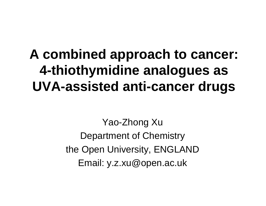#### **A combined approach to cancer: 4-thiothymidine analogues as UVA-assisted anti-cancer drugs**

Yao-Zhong Xu Department of Chemistry the Open University, ENGLAND Email: y.z.xu@open.ac.uk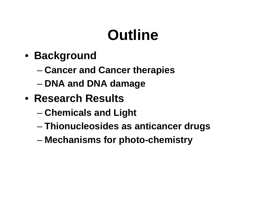## **Outline**

- **Background**
	- –**Cancer and Cancer therapies**
	- –**DNA and DNA damage**
- **Research Results**
	- **Chemicals and Light**
	- –**Thionucleosides as anticancer drugs**
	- –**Mechanisms for photo-chemistry**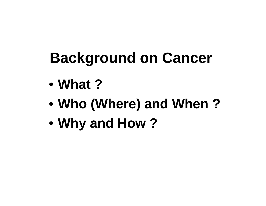## **Background on Cancer**

- $\bullet$ **What ?**
- •**Who (Where) and When ?**
- •**Why and How ?**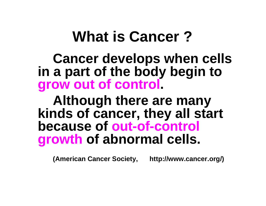### **What is Cancer ?**

**Cancer develops when cells in a part of the body begin to grow out of control.** 

**Although there are many kinds of cancer, they all start because of out-of-control growth of abnormal cells.** 

**(American Cancer Society, http://www.cancer.org/)**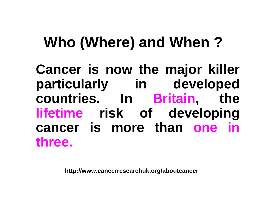## **Who (Where) and When ?**

**Cancer is now the major killer particularly in developed countries. In Britain, the lifetime risk of developing cancer is more than one in three.** 

**http://www.cancerresearchuk.org/aboutcancer**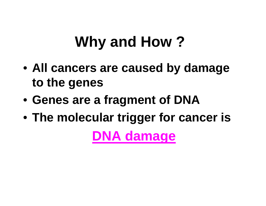## **Why and How ?**

- **All cancers are caused by damage to the genes**
- **Genes are a fragment of DNA**
- **The molecular trigger for cancer is**

**DNA damage**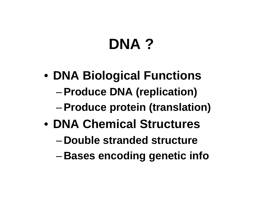## **DNA ?**

- **DNA Biological Functions**
	- –**Produce DNA (replication)**
	- –**Produce protein (translation)**
- **DNA Chemical Structures**
	- –**Double stranded structure**
	- –**Bases encoding genetic info**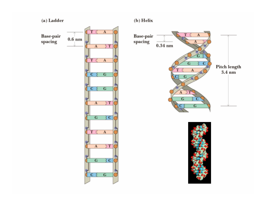

 $\left( \mathbf{b}\right)$  Helix





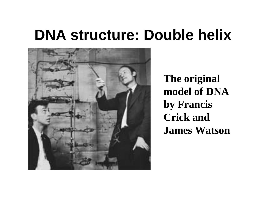### **DNA structure: Double helix**



 **The original model of DNA by Francis Crick and James Watson**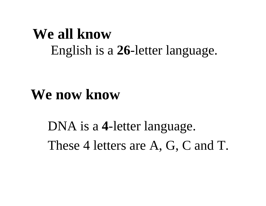#### **We all know**English is a **26**-letter language.

#### **We now know**

DNA is a **4**-letter language. These 4 letters are A, G, C and T.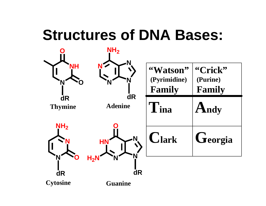## **Structures of DNA Bases:**

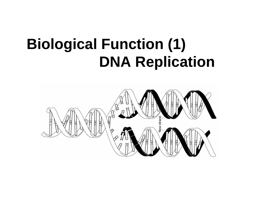## **Biological Function (1) DNA Replication**

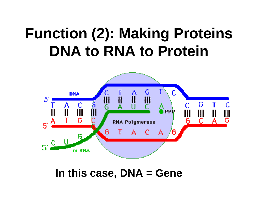## **Function (2): Making Proteins DNA to RNA to Protein**



**In this case, DNA = Gene**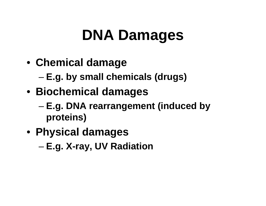## **DNA Damages**

- **Chemical damage**
	- **E.g. by small chemicals (drugs)**
- **Biochemical damages**
	- – **E.g. DNA rearrangement (induced by proteins)**
- **Physical damages**
	- –**E.g. X-ray, UV Radiation**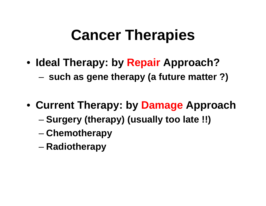## **Cancer Therapies**

- **Ideal Therapy: by Repair Approach?** 
	- **such as gene therapy (a future matter ?)**
- **Current Therapy: by Damage Approach**
	- **Surgery (therapy) (usually too late !!)**
	- –**Chemotherapy**
	- –**Radiotherapy**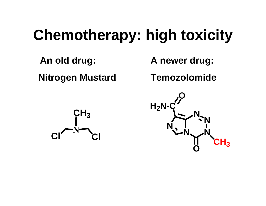## **Chemotherapy: high toxicity**

**An old drug: Nitrogen Mustard** **A newer drug:**

**Temozolomide**



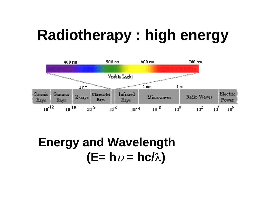## **Radiotherapy : high energy**



**Energy and Wavelength (E= h** υ **= hc/**λ**)**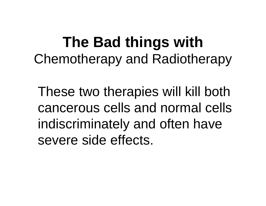### **The Bad things with** Chemotherapy and Radiotherapy

These two therapies will kill both cancerous cells and normal cells indiscriminately and often have severe side effects.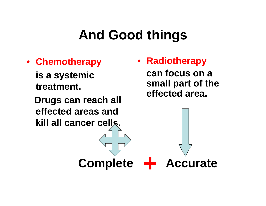#### **And Good things**

• **Chemotherapy**

**is a systemic treatment.**

**Drugs can reach all effected areas and kill all cancer cells.**

 $\bullet$  **Radiotherapy can focus on a small part of the effected area.**

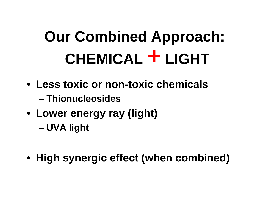# **Our Combined Approach: CHEMICAL + LIGHT**

- **Less toxic or non-toxic chemicals**– **Thionucleosides**
- **Lower energy ray (light)** –**UVA light**
- **High synergic effect (when combined)**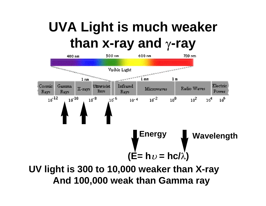#### **UVA Light is much weaker than x-ray and**  γ**-ray**



**And 100,000 weak than Gamma ray**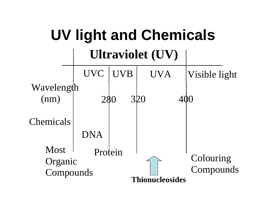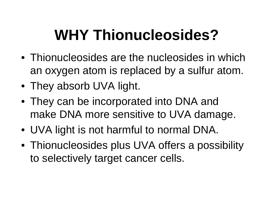## **WHY Thionucleosides?**

- Thionucleosides are the nucleosides in which an oxygen atom is replaced by a sulfur atom.
- They absorb UVA light.
- They can be incorporated into DNA and make DNA more sensitive to UVA damage.
- UVA light is not harmful to normal DNA.
- Thionucleosides plus UVA offers a possibility to selectively target cancer cells.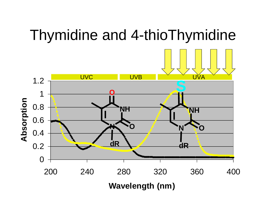#### Thymidine and 4-thioThymidine

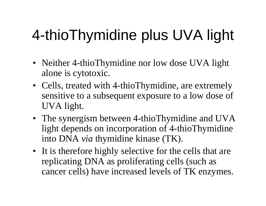## 4-thioThymidine plus UVA light

- Neither 4-thioThymidine nor low dose UVA light alone is cytotoxic.
- Cells, treated with 4-thioThymidine, are extremely sensitive to a subsequent exposure to a low dose of UVA light.
- The synergism between 4-thioThymidine and UVA light depends on incorporation of 4-thioThymidine into DNA *via* thymidine kinase (TK).
- It is therefore highly selective for the cells that are replicating DNA as proliferating cells (such as cancer cells) have increased levels of TK enzymes.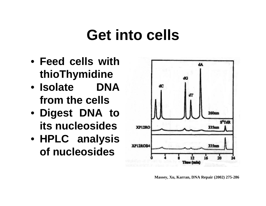### **Get into cells**

- **Feed cells with thioThymidine**
- **Isolate DNA from the cells**
- **Digest DNA to its nucleosides**
- **HPLC analysis of nucleosides**



**Massey, Xu, Karran, DNA Repair (2002) 275-286**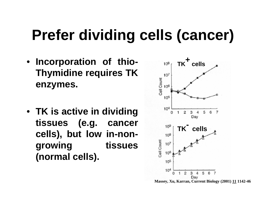## **Prefer dividing cells (cancer)**

- **Incorporation of thio-Thymidine requires TK enzymes.**
- **TK is active in dividing tissues (e.g. cancer cells), but low in-nongrowing tissues (normal cells).**

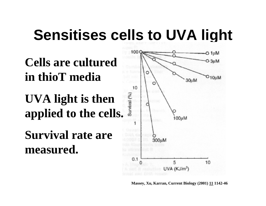### **Sensitises cells to UVA light**



**Massey, Xu, Karran, Current Biology (2001) 11 1142-46**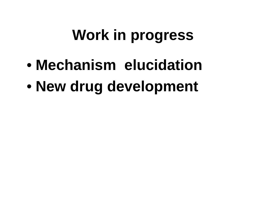## **Work in progress**

- $\bullet$ **Mechanism elucidation**
- $\bullet$ **New drug development**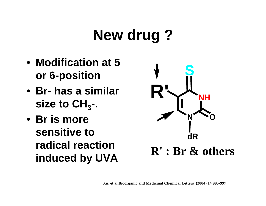## **New drug ?**

- **Modification at 5 or 6-position**
- **Br- has a similar**  size to  $CH_{3}$ -.
- **Br is more sensitive to radical reaction induced by UVA**

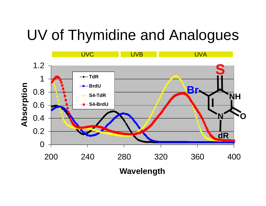### UV of Thymidine and Analogues

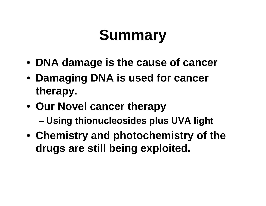## **Summary**

- **DNA damage is the cause of cancer**
- **Damaging DNA is used for cancer therapy.**
- **Our Novel cancer therapy** 
	- **Using thionucleosides plus UVA light**
- **Chemistry and photochemistry of the drugs are still being exploited.**